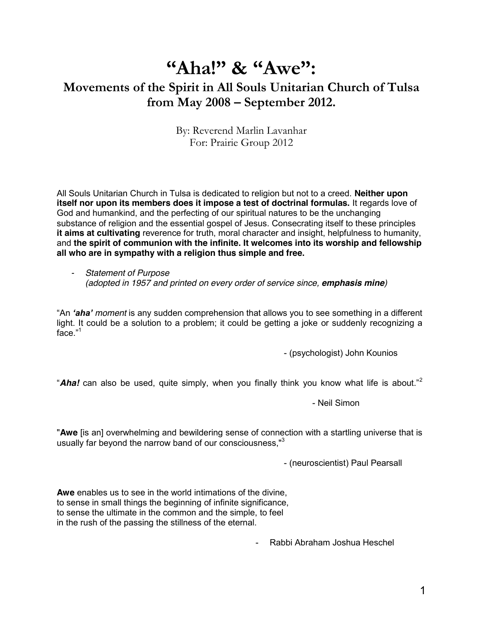# **"Aha!"** & "Awe":

# **Movements of the Spirit in All Souls Unitarian Church of Tulsa from May 2008 ² September 2012.**

By: Reverend Marlin Lavanhar For: Prairie Group 2012

All Souls Unitarian Church in Tulsa is dedicated to religion but not to a creed. **Neither upon itself nor upon its members does it impose a test of doctrinal formulas.** It regards love of God and humankind, and the perfecting of our spiritual natures to be the unchanging substance of religion and the essential gospel of Jesus. Consecrating itself to these principles **it aims at cultivating** reverence for truth, moral character and insight, helpfulness to humanity, and **the spirit of communion with the infinite. It welcomes into its worship and fellowship all who are in sympathy with a religion thus simple and free.**

*- Statement of Purpose (adopted in 1957 and printed on every order of service since, emphasis mine)*

"An 'aha' moment is any sudden comprehension that allows you to see something in a different light. It could be a solution to a problem; it could be getting a joke or suddenly recognizing a face. $1$ <sup>1</sup>

- (psychologist) John Kounios

"Aha! can also be used, quite simply, when you finally think you know what life is about."<sup>2</sup>

- Neil Simon

"**Awe** [is an] overwhelming and bewildering sense of connection with a startling universe that is usually far beyond the narrow band of our consciousness,"<sup>3</sup>

- (neuroscientist) Paul Pearsall

**Awe** enables us to see in the world intimations of the divine, to sense in small things the beginning of infinite significance, to sense the ultimate in the common and the simple, to feel in the rush of the passing the stillness of the eternal.

- Rabbi Abraham Joshua Heschel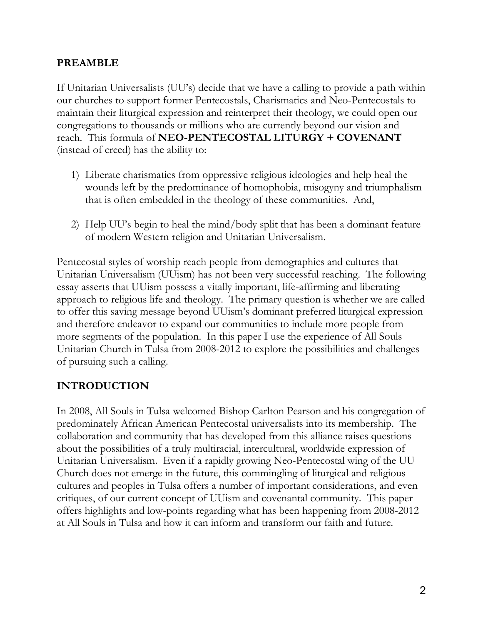# **PREAMBLE**

If Unitarian Universalists (UU's) decide that we have a calling to provide a path within our churches to support former Pentecostals, Charismatics and Neo-Pentecostals to maintain their liturgical expression and reinterpret their theology, we could open our congregations to thousands or millions who are currently beyond our vision and reach. This formula of **NEO-PENTECOSTAL LITURGY + COVENANT** (instead of creed) has the ability to:

- 1) Liberate charismatics from oppressive religious ideologies and help heal the wounds left by the predominance of homophobia, misogyny and triumphalism that is often embedded in the theology of these communities. And,
- 2) Help UU's begin to heal the mind/body split that has been a dominant feature of modern Western religion and Unitarian Universalism.

Pentecostal styles of worship reach people from demographics and cultures that Unitarian Universalism (UUism) has not been very successful reaching. The following essay asserts that UUism possess a vitally important, life-affirming and liberating approach to religious life and theology. The primary question is whether we are called to offer this saving message beyond UU ism's dominant preferred liturgical expression and therefore endeavor to expand our communities to include more people from more segments of the population. In this paper I use the experience of All Souls Unitarian Church in Tulsa from 2008-2012 to explore the possibilities and challenges of pursuing such a calling.

# **INTRODUCTION**

In 2008, All Souls in Tulsa welcomed Bishop Carlton Pearson and his congregation of predominately African American Pentecostal universalists into its membership. The collaboration and community that has developed from this alliance raises questions about the possibilities of a truly multiracial, intercultural, worldwide expression of Unitarian Universalism. Even if a rapidly growing Neo-Pentecostal wing of the UU Church does not emerge in the future, this commingling of liturgical and religious cultures and peoples in Tulsa offers a number of important considerations, and even critiques, of our current concept of UUism and covenantal community. This paper offers highlights and low-points regarding what has been happening from 2008-2012 at All Souls in Tulsa and how it can inform and transform our faith and future.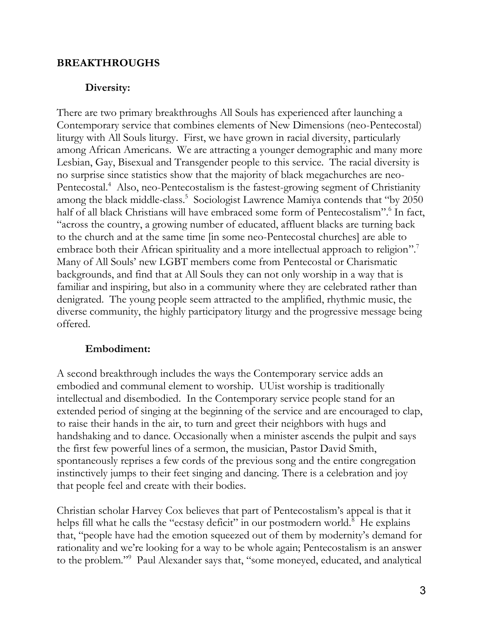### **BREAKTHROUGHS**

#### **Diversity:**

There are two primary breakthroughs All Souls has experienced after launching a Contemporary service that combines elements of New Dimensions (neo-Pentecostal) liturgy with All Souls liturgy. First, we have grown in racial diversity, particularly among African Americans. We are attracting a younger demographic and many more Lesbian, Gay, Bisexual and Transgender people to this service. The racial diversity is no surprise since statistics show that the majority of black megachurches are neo-Pentecostal.<sup>4</sup> Also, neo-Pentecostalism is the fastest-growing segment of Christianity among the black middle-class.<sup>5</sup> Sociologist Lawrence Mamiya contends that "by 2050 half of all black Christians will have embraced some form of Pentecostalism".<sup>6</sup> In fact, "across the country, a growing number of educated, affluent blacks are turning back to the church and at the same time [in some neo-Pentecostal churches] are able to embrace both their African spirituality and a more intellectual approach to religion".<sup>7</sup> Many of All Souls' new LGBT members come from Pentecostal or Charismatic backgrounds, and find that at All Souls they can not only worship in a way that is familiar and inspiring, but also in a community where they are celebrated rather than denigrated. The young people seem attracted to the amplified, rhythmic music, the diverse community, the highly participatory liturgy and the progressive message being offered.

#### **Embodiment:**

A second breakthrough includes the ways the Contemporary service adds an embodied and communal element to worship. UUist worship is traditionally intellectual and disembodied. In the Contemporary service people stand for an extended period of singing at the beginning of the service and are encouraged to clap, to raise their hands in the air, to turn and greet their neighbors with hugs and handshaking and to dance. Occasionally when a minister ascends the pulpit and says the first few powerful lines of a sermon, the musician, Pastor David Smith, spontaneously reprises a few cords of the previous song and the entire congregation instinctively jumps to their feet singing and dancing. There is a celebration and joy that people feel and create with their bodies.

Christian scholar Harvey Cox believes that part of Pentecostalism's appeal is that it helps fill what he calls the "ecstasy deficit" in our postmodern world.<sup>8</sup> He explains that, "people have had the emotion squeezed out of them by modernity's demand for rationality and we're looking for a way to be whole again; Pentecostalism is an answer to the problem."<sup>9</sup> Paul Alexander says that, "some moneyed, educated, and analytical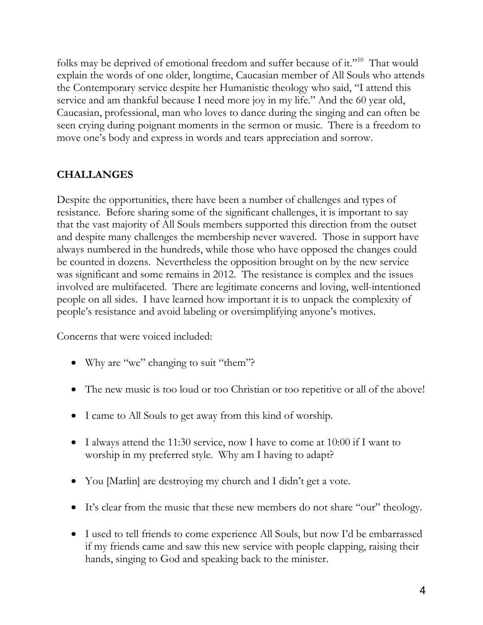folks may be deprived of emotional freedom and suffer because of it."<sup>10</sup> That would explain the words of one older, longtime, Caucasian member of All Souls who attends the Contemporary service despite her Humanistic theology who said, "I attend this service and am thankful because I need more joy in my life." And the 60 year old, Caucasian, professional, man who loves to dance during the singing and can often be seen crying during poignant moments in the sermon or music. There is a freedom to move one's body and express in words and tears appreciation and sorrow.

# **CHALLANGES**

Despite the opportunities, there have been a number of challenges and types of resistance. Before sharing some of the significant challenges, it is important to say that the vast majority of All Souls members supported this direction from the outset and despite many challenges the membership never wavered. Those in support have always numbered in the hundreds, while those who have opposed the changes could be counted in dozens. Nevertheless the opposition brought on by the new service was significant and some remains in 2012. The resistance is complex and the issues involved are multifaceted. There are legitimate concerns and loving, well-intentioned people on all sides. I have learned how important it is to unpack the complexity of people's resistance and avoid labeling or oversimplifying anyone's motives.

Concerns that were voiced included:

- Why are "we" changing to suit "them"?
- The new music is too loud or too Christian or too repetitive or all of the above!
- I came to All Souls to get away from this kind of worship.
- $\bullet$  I always attend the 11:30 service, now I have to come at 10:00 if I want to worship in my preferred style. Why am I having to adapt?
- You [Marlin] are destroying my church and I didn't get a vote.
- It's clear from the music that these new members do not share "our" theology.
- I used to tell friends to come experience All Souls, but now I'd be embarrassed if my friends came and saw this new service with people clapping, raising their hands, singing to God and speaking back to the minister.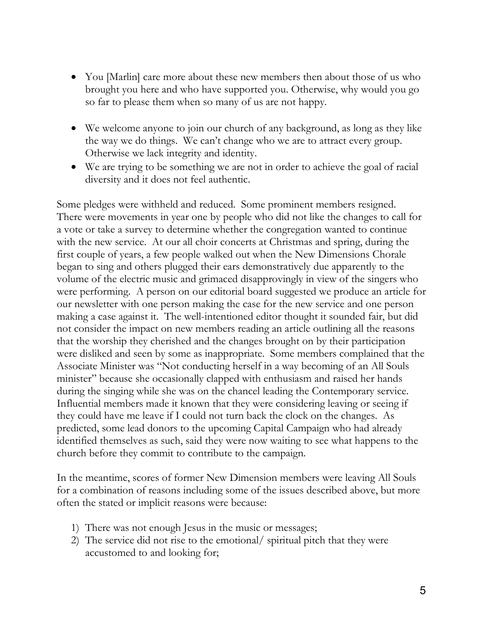- You [Marlin] care more about these new members then about those of us who brought you here and who have supported you. Otherwise, why would you go so far to please them when so many of us are not happy.
- We welcome anyone to join our church of any background, as long as they like the way we do things. We can't change who we are to attract every group. Otherwise we lack integrity and identity.
- We are trying to be something we are not in order to achieve the goal of racial diversity and it does not feel authentic.

Some pledges were withheld and reduced. Some prominent members resigned. There were movements in year one by people who did not like the changes to call for a vote or take a survey to determine whether the congregation wanted to continue with the new service. At our all choir concerts at Christmas and spring, during the first couple of years, a few people walked out when the New Dimensions Chorale began to sing and others plugged their ears demonstratively due apparently to the volume of the electric music and grimaced disapprovingly in view of the singers who were performing. A person on our editorial board suggested we produce an article for our newsletter with one person making the case for the new service and one person making a case against it. The well-intentioned editor thought it sounded fair, but did not consider the impact on new members reading an article outlining all the reasons that the worship they cherished and the changes brought on by their participation were disliked and seen by some as inappropriate. Some members complained that the Associate Minister was "Not conducting herself in a way becoming of an All Souls minister" because she occasionally clapped with enthusiasm and raised her hands during the singing while she was on the chancel leading the Contemporary service. Influential members made it known that they were considering leaving or seeing if they could have me leave if I could not turn back the clock on the changes. As predicted, some lead donors to the upcoming Capital Campaign who had already identified themselves as such, said they were now waiting to see what happens to the church before they commit to contribute to the campaign.

In the meantime, scores of former New Dimension members were leaving All Souls for a combination of reasons including some of the issues described above, but more often the stated or implicit reasons were because:

- 1) There was not enough Jesus in the music or messages;
- 2) The service did not rise to the emotional/ spiritual pitch that they were accustomed to and looking for;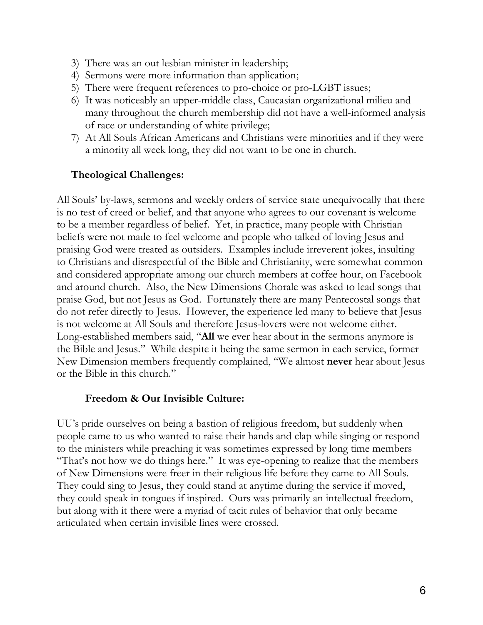- 3) There was an out lesbian minister in leadership;
- 4) Sermons were more information than application;
- 5) There were frequent references to pro-choice or pro-LGBT issues;
- 6) It was noticeably an upper-middle class, Caucasian organizational milieu and many throughout the church membership did not have a well-informed analysis of race or understanding of white privilege;
- 7) At All Souls African Americans and Christians were minorities and if they were a minority all week long, they did not want to be one in church.

# **Theological Challenges:**

All Souls' by-laws, sermons and weekly orders of service state unequivocally that there is no test of creed or belief, and that anyone who agrees to our covenant is welcome to be a member regardless of belief. Yet, in practice, many people with Christian beliefs were not made to feel welcome and people who talked of loving Jesus and praising God were treated as outsiders. Examples include irreverent jokes, insulting to Christians and disrespectful of the Bible and Christianity, were somewhat common and considered appropriate among our church members at coffee hour, on Facebook and around church. Also, the New Dimensions Chorale was asked to lead songs that praise God, but not Jesus as God. Fortunately there are many Pentecostal songs that do not refer directly to Jesus. However, the experience led many to believe that Jesus is not welcome at All Souls and therefore Jesus-lovers were not welcome either. Long-established members said, "All we ever hear about in the sermons anymore is the Bible and Jesus." While despite it being the same sermon in each service, former New Dimension members frequently complained, "We almost **never** hear about Jesus or the Bible in this church."

# **Freedom & Our Invisible Culture:**

UU's pride ourselves on being a bastion of religious freedom, but suddenly when people came to us who wanted to raise their hands and clap while singing or respond to the ministers while preaching it was sometimes expressed by long time members "That's not how we do things here." It was eye-opening to realize that the members of New Dimensions were freer in their religious life before they came to All Souls. They could sing to Jesus, they could stand at anytime during the service if moved, they could speak in tongues if inspired. Ours was primarily an intellectual freedom, but along with it there were a myriad of tacit rules of behavior that only became articulated when certain invisible lines were crossed.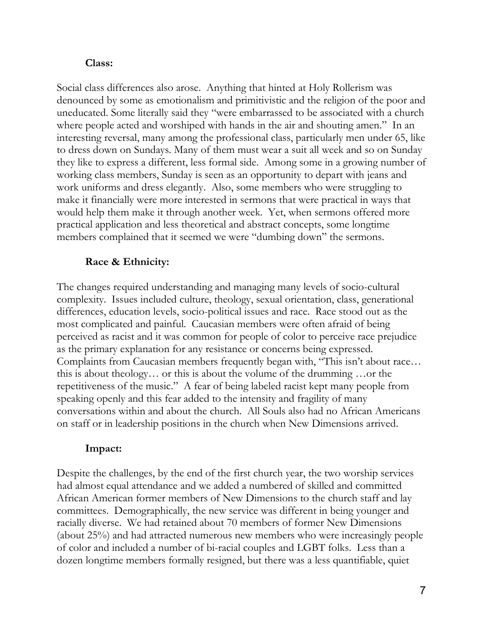#### **Class:**

Social class differences also arose. Anything that hinted at Holy Rollerism was denounced by some as emotionalism and primitivistic and the religion of the poor and uneducated. Some literally said they ´were embarrassed to be associated with a church where people acted and worshiped with hands in the air and shouting amen." In an interesting reversal, many among the professional class, particularly men under 65, like to dress down on Sundays. Many of them must wear a suit all week and so on Sunday they like to express a different, less formal side. Among some in a growing number of working class members, Sunday is seen as an opportunity to depart with jeans and work uniforms and dress elegantly. Also, some members who were struggling to make it financially were more interested in sermons that were practical in ways that would help them make it through another week. Yet, when sermons offered more practical application and less theoretical and abstract concepts, some longtime members complained that it seemed we were "dumbing down" the sermons.

# **Race & Ethnicity:**

The changes required understanding and managing many levels of socio-cultural complexity. Issues included culture, theology, sexual orientation, class, generational differences, education levels, socio-political issues and race. Race stood out as the most complicated and painful. Caucasian members were often afraid of being perceived as racist and it was common for people of color to perceive race prejudice as the primary explanation for any resistance or concerns being expressed. Complaints from Caucasian members frequently began with, "This isn't about race... this is about theology... or this is about the volume of the drumming ... or the repetitiveness of the music." A fear of being labeled racist kept many people from speaking openly and this fear added to the intensity and fragility of many conversations within and about the church. All Souls also had no African Americans on staff or in leadership positions in the church when New Dimensions arrived.

#### **Impact:**

Despite the challenges, by the end of the first church year, the two worship services had almost equal attendance and we added a numbered of skilled and committed African American former members of New Dimensions to the church staff and lay committees. Demographically, the new service was different in being younger and racially diverse. We had retained about 70 members of former New Dimensions (about 25%) and had attracted numerous new members who were increasingly people of color and included a number of bi-racial couples and LGBT folks. Less than a dozen longtime members formally resigned, but there was a less quantifiable, quiet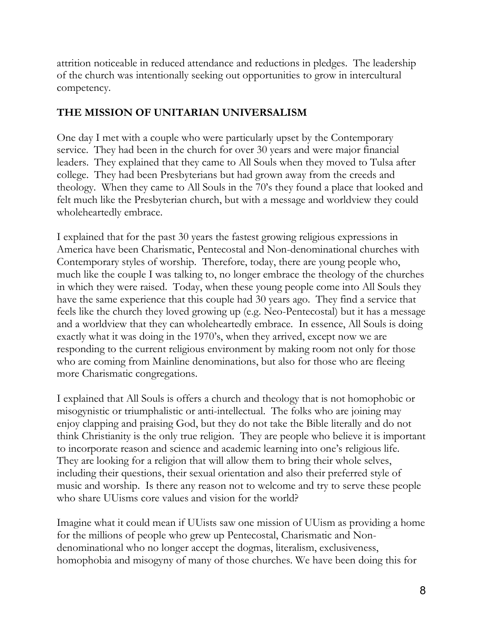attrition noticeable in reduced attendance and reductions in pledges. The leadership of the church was intentionally seeking out opportunities to grow in intercultural competency.

# **THE MISSION OF UNITARIAN UNIVERSALISM**

One day I met with a couple who were particularly upset by the Contemporary service. They had been in the church for over 30 years and were major financial leaders. They explained that they came to All Souls when they moved to Tulsa after college. They had been Presbyterians but had grown away from the creeds and theology. When they came to All Souls in the 70's they found a place that looked and felt much like the Presbyterian church, but with a message and worldview they could wholeheartedly embrace.

I explained that for the past 30 years the fastest growing religious expressions in America have been Charismatic, Pentecostal and Non-denominational churches with Contemporary styles of worship. Therefore, today, there are young people who, much like the couple I was talking to, no longer embrace the theology of the churches in which they were raised. Today, when these young people come into All Souls they have the same experience that this couple had 30 years ago. They find a service that feels like the church they loved growing up (e.g. Neo-Pentecostal) but it has a message and a worldview that they can wholeheartedly embrace. In essence, All Souls is doing exactly what it was doing in the 1970's, when they arrived, except now we are responding to the current religious environment by making room not only for those who are coming from Mainline denominations, but also for those who are fleeing more Charismatic congregations.

I explained that All Souls is offers a church and theology that is not homophobic or misogynistic or triumphalistic or anti-intellectual. The folks who are joining may enjoy clapping and praising God, but they do not take the Bible literally and do not think Christianity is the only true religion. They are people who believe it is important to incorporate reason and science and academic learning into one's religious life. They are looking for a religion that will allow them to bring their whole selves, including their questions, their sexual orientation and also their preferred style of music and worship. Is there any reason not to welcome and try to serve these people who share UUisms core values and vision for the world?

Imagine what it could mean if UUists saw one mission of UUism as providing a home for the millions of people who grew up Pentecostal, Charismatic and Nondenominational who no longer accept the dogmas, literalism, exclusiveness, homophobia and misogyny of many of those churches. We have been doing this for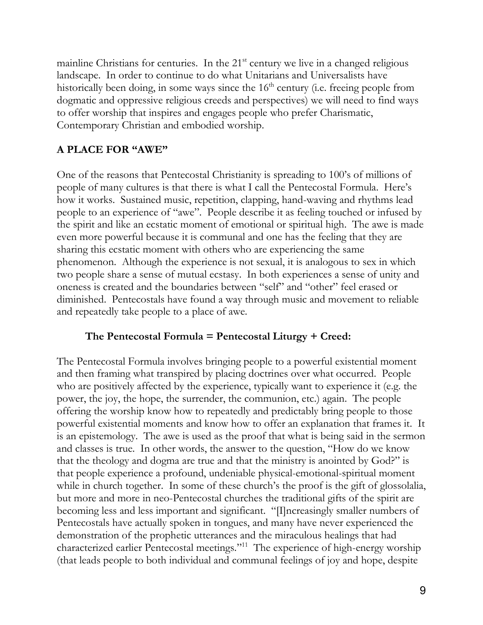mainline Christians for centuries. In the  $21<sup>st</sup>$  century we live in a changed religious landscape. In order to continue to do what Unitarians and Universalists have historically been doing, in some ways since the  $16<sup>th</sup>$  century (i.e. freeing people from dogmatic and oppressive religious creeds and perspectives) we will need to find ways to offer worship that inspires and engages people who prefer Charismatic, Contemporary Christian and embodied worship.

# **A** PLACE FOR "AWE"

One of the reasons that Pentecostal Christianity is spreading to 100's of millions of people of many cultures is that there is what I call the Pentecostal Formula. Here's how it works. Sustained music, repetition, clapping, hand-waving and rhythms lead people to an experience of "awe". People describe it as feeling touched or infused by the spirit and like an ecstatic moment of emotional or spiritual high. The awe is made even more powerful because it is communal and one has the feeling that they are sharing this ecstatic moment with others who are experiencing the same phenomenon. Although the experience is not sexual, it is analogous to sex in which two people share a sense of mutual ecstasy. In both experiences a sense of unity and oneness is created and the boundaries between "self" and "other" feel erased or diminished. Pentecostals have found a way through music and movement to reliable and repeatedly take people to a place of awe.

#### **The Pentecostal Formula = Pentecostal Liturgy + Creed:**

The Pentecostal Formula involves bringing people to a powerful existential moment and then framing what transpired by placing doctrines over what occurred. People who are positively affected by the experience, typically want to experience it (e.g. the power, the joy, the hope, the surrender, the communion, etc.) again. The people offering the worship know how to repeatedly and predictably bring people to those powerful existential moments and know how to offer an explanation that frames it. It is an epistemology. The awe is used as the proof that what is being said in the sermon and classes is true. In other words, the answer to the question, "How do we know that the theology and dogma are true and that the ministry is anointed by  $God?"$  is that people experience a profound, undeniable physical-emotional-spiritual moment while in church together. In some of these church's the proof is the gift of glossolalia, but more and more in neo-Pentecostal churches the traditional gifts of the spirit are becoming less and less important and significant. "[I]ncreasingly smaller numbers of Pentecostals have actually spoken in tongues, and many have never experienced the demonstration of the prophetic utterances and the miraculous healings that had characterized earlier Pentecostal meetings."<sup>11</sup> The experience of high-energy worship (that leads people to both individual and communal feelings of joy and hope, despite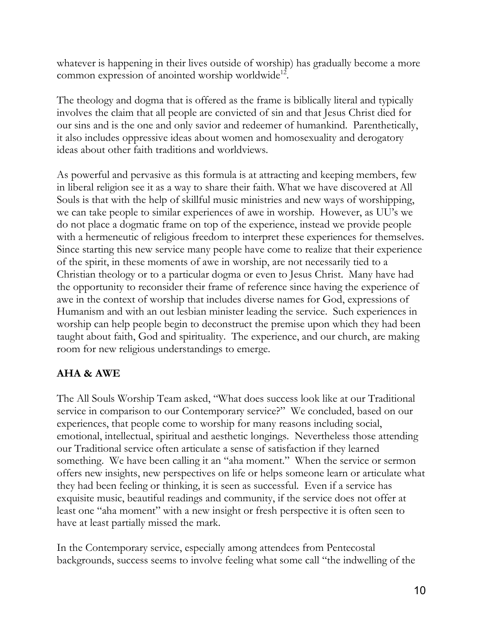whatever is happening in their lives outside of worship) has gradually become a more common expression of anointed worship worldwide<sup>12</sup>.

The theology and dogma that is offered as the frame is biblically literal and typically involves the claim that all people are convicted of sin and that Jesus Christ died for our sins and is the one and only savior and redeemer of humankind. Parenthetically, it also includes oppressive ideas about women and homosexuality and derogatory ideas about other faith traditions and worldviews.

As powerful and pervasive as this formula is at attracting and keeping members, few in liberal religion see it as a way to share their faith. What we have discovered at All Souls is that with the help of skillful music ministries and new ways of worshipping, we can take people to similar experiences of awe in worship. However, as UU's we do not place a dogmatic frame on top of the experience, instead we provide people with a hermeneutic of religious freedom to interpret these experiences for themselves. Since starting this new service many people have come to realize that their experience of the spirit, in these moments of awe in worship, are not necessarily tied to a Christian theology or to a particular dogma or even to Jesus Christ. Many have had the opportunity to reconsider their frame of reference since having the experience of awe in the context of worship that includes diverse names for God, expressions of Humanism and with an out lesbian minister leading the service. Such experiences in worship can help people begin to deconstruct the premise upon which they had been taught about faith, God and spirituality. The experience, and our church, are making room for new religious understandings to emerge.

# **AHA & AWE**

The All Souls Worship Team asked, "What does success look like at our Traditional service in comparison to our Contemporary service?" We concluded, based on our experiences, that people come to worship for many reasons including social, emotional, intellectual, spiritual and aesthetic longings. Nevertheless those attending our Traditional service often articulate a sense of satisfaction if they learned something. We have been calling it an "aha moment." When the service or sermon offers new insights, new perspectives on life or helps someone learn or articulate what they had been feeling or thinking, it is seen as successful. Even if a service has exquisite music, beautiful readings and community, if the service does not offer at least one "aha moment" with a new insight or fresh perspective it is often seen to have at least partially missed the mark.

In the Contemporary service, especially among attendees from Pentecostal backgrounds, success seems to involve feeling what some call "the indwelling of the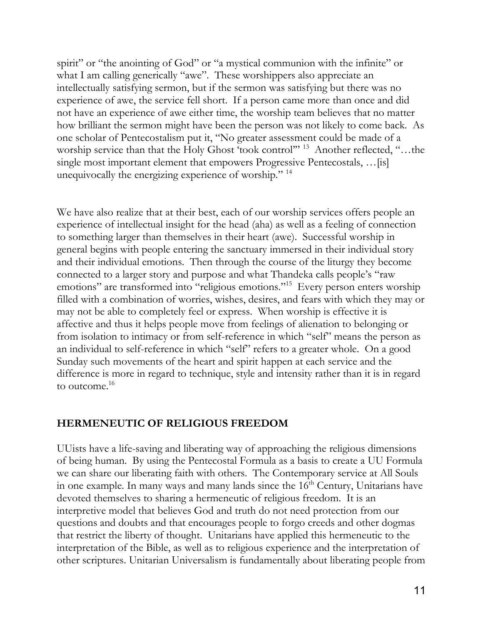spirit" or "the anointing of God" or "a mystical communion with the infinite" or what I am calling generically "awe". These worshippers also appreciate an intellectually satisfying sermon, but if the sermon was satisfying but there was no experience of awe, the service fell short. If a person came more than once and did not have an experience of awe either time, the worship team believes that no matter how brilliant the sermon might have been the person was not likely to come back. As one scholar of Pentecostalism put it, "No greater assessment could be made of a worship service than that the Holy Ghost 'took control"<sup>13</sup> Another reflected, "...the single most important element that empowers Progressive Pentecostals, ... [is] unequivocally the energizing experience of worship."  $14$ 

We have also realize that at their best, each of our worship services offers people an experience of intellectual insight for the head (aha) as well as a feeling of connection to something larger than themselves in their heart (awe). Successful worship in general begins with people entering the sanctuary immersed in their individual story and their individual emotions. Then through the course of the liturgy they become connected to a larger story and purpose and what Thandeka calls people's "raw emotions" are transformed into "religious emotions."<sup>15</sup> Every person enters worship filled with a combination of worries, wishes, desires, and fears with which they may or may not be able to completely feel or express. When worship is effective it is affective and thus it helps people move from feelings of alienation to belonging or from isolation to intimacy or from self-reference in which "self" means the person as an individual to self-reference in which "self" refers to a greater whole. On a good Sunday such movements of the heart and spirit happen at each service and the difference is more in regard to technique, style and intensity rather than it is in regard to outcome.<sup>16</sup>

# **HERMENEUTIC OF RELIGIOUS FREEDOM**

UUists have a life-saving and liberating way of approaching the religious dimensions of being human. By using the Pentecostal Formula as a basis to create a UU Formula we can share our liberating faith with others. The Contemporary service at All Souls in one example. In many ways and many lands since the  $16<sup>th</sup>$  Century, Unitarians have devoted themselves to sharing a hermeneutic of religious freedom. It is an interpretive model that believes God and truth do not need protection from our questions and doubts and that encourages people to forgo creeds and other dogmas that restrict the liberty of thought. Unitarians have applied this hermeneutic to the interpretation of the Bible, as well as to religious experience and the interpretation of other scriptures. Unitarian Universalism is fundamentally about liberating people from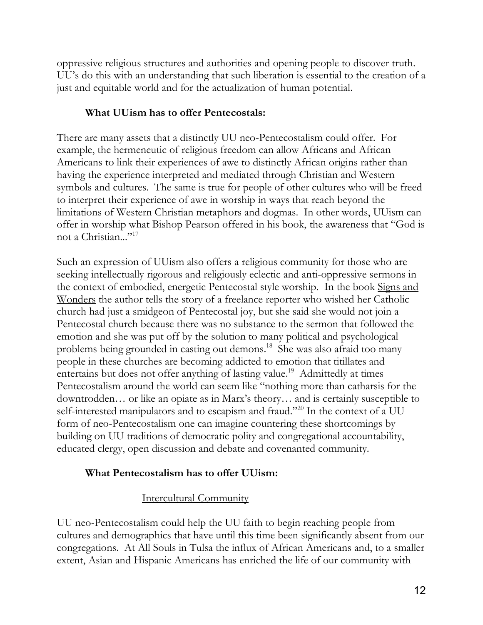oppressive religious structures and authorities and opening people to discover truth. UU's do this with an understanding that such liberation is essential to the creation of a just and equitable world and for the actualization of human potential.

# **What UUism has to offer Pentecostals:**

There are many assets that a distinctly UU neo-Pentecostalism could offer. For example, the hermeneutic of religious freedom can allow Africans and African Americans to link their experiences of awe to distinctly African origins rather than having the experience interpreted and mediated through Christian and Western symbols and cultures. The same is true for people of other cultures who will be freed to interpret their experience of awe in worship in ways that reach beyond the limitations of Western Christian metaphors and dogmas. In other words, UUism can offer in worship what Bishop Pearson offered in his book, the awareness that ´God is not a Christian..."<sup>17</sup>

Such an expression of UUism also offers a religious community for those who are seeking intellectually rigorous and religiously eclectic and anti-oppressive sermons in the context of embodied, energetic Pentecostal style worship. In the book Signs and Wonders the author tells the story of a freelance reporter who wished her Catholic church had just a smidgeon of Pentecostal joy, but she said she would not join a Pentecostal church because there was no substance to the sermon that followed the emotion and she was put off by the solution to many political and psychological problems being grounded in casting out demons. <sup>18</sup> She was also afraid too many people in these churches are becoming addicted to emotion that titillates and entertains but does not offer anything of lasting value.<sup>19</sup> Admittedly at times Pentecostalism around the world can seem like "nothing more than catharsis for the downtrodden... or like an opiate as in Marx's theory... and is certainly susceptible to self-interested manipulators and to escapism and fraud."<sup>20</sup> In the context of a UU form of neo-Pentecostalism one can imagine countering these shortcomings by building on UU traditions of democratic polity and congregational accountability, educated clergy, open discussion and debate and covenanted community.

# **What Pentecostalism has to offer UUism:**

# Intercultural Community

UU neo-Pentecostalism could help the UU faith to begin reaching people from cultures and demographics that have until this time been significantly absent from our congregations. At All Souls in Tulsa the influx of African Americans and, to a smaller extent, Asian and Hispanic Americans has enriched the life of our community with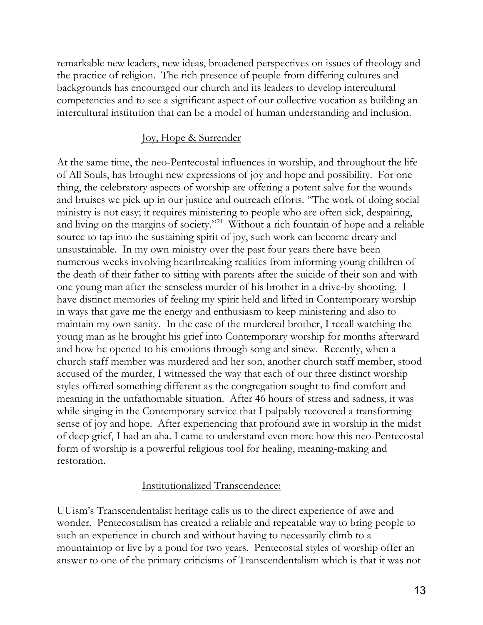remarkable new leaders, new ideas, broadened perspectives on issues of theology and the practice of religion. The rich presence of people from differing cultures and backgrounds has encouraged our church and its leaders to develop intercultural competencies and to see a significant aspect of our collective vocation as building an intercultural institution that can be a model of human understanding and inclusion.

# Joy, Hope & Surrender

At the same time, the neo-Pentecostal influences in worship, and throughout the life of All Souls, has brought new expressions of joy and hope and possibility. For one thing, the celebratory aspects of worship are offering a potent salve for the wounds and bruises we pick up in our justice and outreach efforts. "The work of doing social ministry is not easy; it requires ministering to people who are often sick, despairing, and living on the margins of society."<sup>21</sup> Without a rich fountain of hope and a reliable source to tap into the sustaining spirit of joy, such work can become dreary and unsustainable. In my own ministry over the past four years there have been numerous weeks involving heartbreaking realities from informing young children of the death of their father to sitting with parents after the suicide of their son and with one young man after the senseless murder of his brother in a drive-by shooting. I have distinct memories of feeling my spirit held and lifted in Contemporary worship in ways that gave me the energy and enthusiasm to keep ministering and also to maintain my own sanity. In the case of the murdered brother, I recall watching the young man as he brought his grief into Contemporary worship for months afterward and how he opened to his emotions through song and sinew. Recently, when a church staff member was murdered and her son, another church staff member, stood accused of the murder, I witnessed the way that each of our three distinct worship styles offered something different as the congregation sought to find comfort and meaning in the unfathomable situation. After 46 hours of stress and sadness, it was while singing in the Contemporary service that I palpably recovered a transforming sense of joy and hope. After experiencing that profound awe in worship in the midst of deep grief, I had an aha. I came to understand even more how this neo-Pentecostal form of worship is a powerful religious tool for healing, meaning-making and restoration.

# Institutionalized Transcendence:

UU ism's Transcendentalist heritage calls us to the direct experience of awe and wonder. Pentecostalism has created a reliable and repeatable way to bring people to such an experience in church and without having to necessarily climb to a mountaintop or live by a pond for two years. Pentecostal styles of worship offer an answer to one of the primary criticisms of Transcendentalism which is that it was not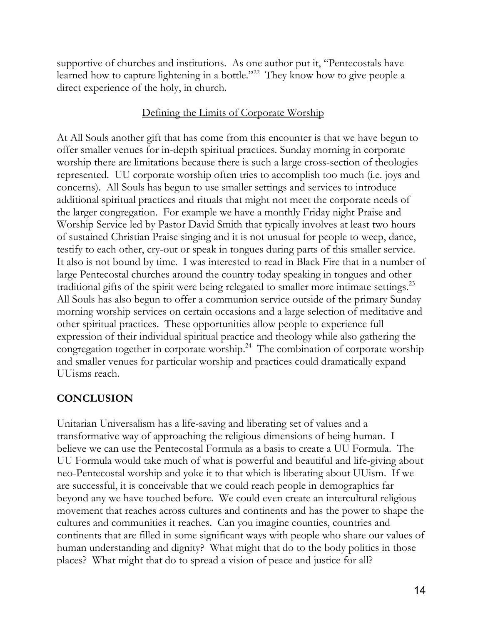supportive of churches and institutions. As one author put it, "Pentecostals have learned how to capture lightening in a bottle."<sup>22</sup> They know how to give people a direct experience of the holy, in church.

# Defining the Limits of Corporate Worship

At All Souls another gift that has come from this encounter is that we have begun to offer smaller venues for in-depth spiritual practices. Sunday morning in corporate worship there are limitations because there is such a large cross-section of theologies represented. UU corporate worship often tries to accomplish too much (i.e. joys and concerns). All Souls has begun to use smaller settings and services to introduce additional spiritual practices and rituals that might not meet the corporate needs of the larger congregation. For example we have a monthly Friday night Praise and Worship Service led by Pastor David Smith that typically involves at least two hours of sustained Christian Praise singing and it is not unusual for people to weep, dance, testify to each other, cry-out or speak in tongues during parts of this smaller service. It also is not bound by time. I was interested to read in Black Fire that in a number of large Pentecostal churches around the country today speaking in tongues and other traditional gifts of the spirit were being relegated to smaller more intimate settings.<sup>23</sup> All Souls has also begun to offer a communion service outside of the primary Sunday morning worship services on certain occasions and a large selection of meditative and other spiritual practices. These opportunities allow people to experience full expression of their individual spiritual practice and theology while also gathering the congregation together in corporate worship. 24 The combination of corporate worship and smaller venues for particular worship and practices could dramatically expand UUisms reach.

# **CONCLUSION**

Unitarian Universalism has a life-saving and liberating set of values and a transformative way of approaching the religious dimensions of being human. I believe we can use the Pentecostal Formula as a basis to create a UU Formula. The UU Formula would take much of what is powerful and beautiful and life-giving about neo-Pentecostal worship and yoke it to that which is liberating about UUism. If we are successful, it is conceivable that we could reach people in demographics far beyond any we have touched before. We could even create an intercultural religious movement that reaches across cultures and continents and has the power to shape the cultures and communities it reaches. Can you imagine counties, countries and continents that are filled in some significant ways with people who share our values of human understanding and dignity? What might that do to the body politics in those places? What might that do to spread a vision of peace and justice for all?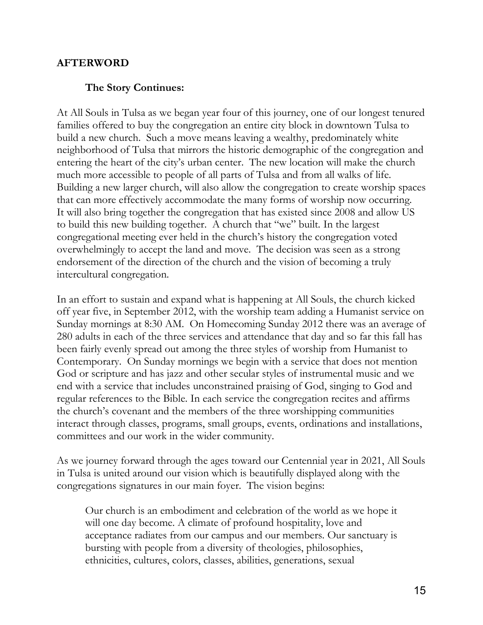### **AFTERWORD**

#### **The Story Continues:**

At All Souls in Tulsa as we began year four of this journey, one of our longest tenured families offered to buy the congregation an entire city block in downtown Tulsa to build a new church. Such a move means leaving a wealthy, predominately white neighborhood of Tulsa that mirrors the historic demographic of the congregation and entering the heart of the city's urban center. The new location will make the church much more accessible to people of all parts of Tulsa and from all walks of life. Building a new larger church, will also allow the congregation to create worship spaces that can more effectively accommodate the many forms of worship now occurring. It will also bring together the congregation that has existed since 2008 and allow US to build this new building together. A church that "we" built. In the largest congregational meeting ever held in the church's history the congregation voted overwhelmingly to accept the land and move. The decision was seen as a strong endorsement of the direction of the church and the vision of becoming a truly intercultural congregation.

In an effort to sustain and expand what is happening at All Souls, the church kicked off year five, in September 2012, with the worship team adding a Humanist service on Sunday mornings at 8:30 AM. On Homecoming Sunday 2012 there was an average of 280 adults in each of the three services and attendance that day and so far this fall has been fairly evenly spread out among the three styles of worship from Humanist to Contemporary. On Sunday mornings we begin with a service that does not mention God or scripture and has jazz and other secular styles of instrumental music and we end with a service that includes unconstrained praising of God, singing to God and regular references to the Bible. In each service the congregation recites and affirms the church's covenant and the members of the three worshipping communities interact through classes, programs, small groups, events, ordinations and installations, committees and our work in the wider community.

As we journey forward through the ages toward our Centennial year in 2021, All Souls in Tulsa is united around our vision which is beautifully displayed along with the congregations signatures in our main foyer. The vision begins:

Our church is an embodiment and celebration of the world as we hope it will one day become. A climate of profound hospitality, love and acceptance radiates from our campus and our members. Our sanctuary is bursting with people from a diversity of theologies, philosophies, ethnicities, cultures, colors, classes, abilities, generations, sexual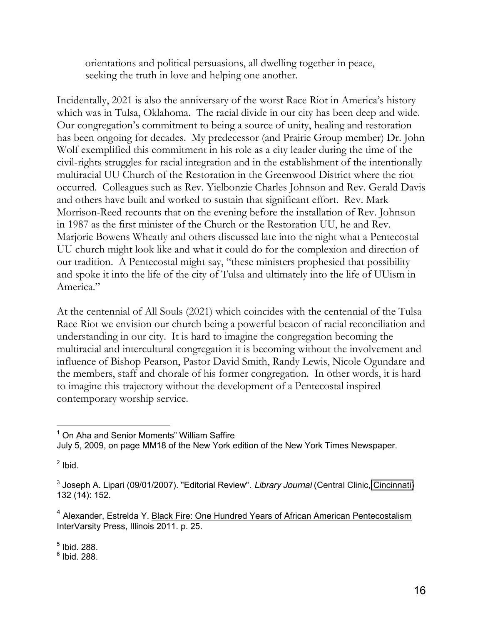orientations and political persuasions, all dwelling together in peace, seeking the truth in love and helping one another.

Incidentally, 2021 is also the anniversary of the worst Race Riot in America's history which was in Tulsa, Oklahoma. The racial divide in our city has been deep and wide. Our congregation's commitment to being a source of unity, healing and restoration has been ongoing for decades. My predecessor (and Prairie Group member) Dr. John Wolf exemplified this commitment in his role as a city leader during the time of the civil-rights struggles for racial integration and in the establishment of the intentionally multiracial UU Church of the Restoration in the Greenwood District where the riot occurred. Colleagues such as Rev. Yielbonzie Charles Johnson and Rev. Gerald Davis and others have built and worked to sustain that significant effort. Rev. Mark Morrison-Reed recounts that on the evening before the installation of Rev. Johnson in 1987 as the first minister of the Church or the Restoration UU, he and Rev. Marjorie Bowens Wheatly and others discussed late into the night what a Pentecostal UU church might look like and what it could do for the complexion and direction of our tradition. A Pentecostal might say, "these ministers prophesied that possibility and spoke it into the life of the city of Tulsa and ultimately into the life of UUism in America."

At the centennial of All Souls (2021) which coincides with the centennial of the Tulsa Race Riot we envision our church being a powerful beacon of racial reconciliation and understanding in our city. It is hard to imagine the congregation becoming the multiracial and intercultural congregation it is becoming without the involvement and influence of Bishop Pearson, Pastor David Smith, Randy Lewis, Nicole Ogundare and the members, staff and chorale of his former congregation. In other words, it is hard to imagine this trajectory without the development of a Pentecostal inspired contemporary worship service.

 $<sup>2</sup>$  Ibid.</sup>

<sup>4</sup> Alexander, Estrelda Y. Black Fire: One Hundred Years of African American Pentecostalism InterVarsity Press, Illinois 2011. p. 25.

 $6$  Ibid. 288.

l  $<sup>1</sup>$  On Aha and Senior Moments" William Saffire</sup>

July 5, 2009, on page MM18 of the New York edition of the New York Times Newspaper.

<sup>3</sup> Joseph A. Lipari (09/01/2007). "Editorial Review". *Library Journal* (Central Clinic, [Cincinnati\)](http://en.wikipedia.org/wiki/Cincinnati) 132 (14): 152.

 $<sup>5</sup>$  Ibid. 288.</sup>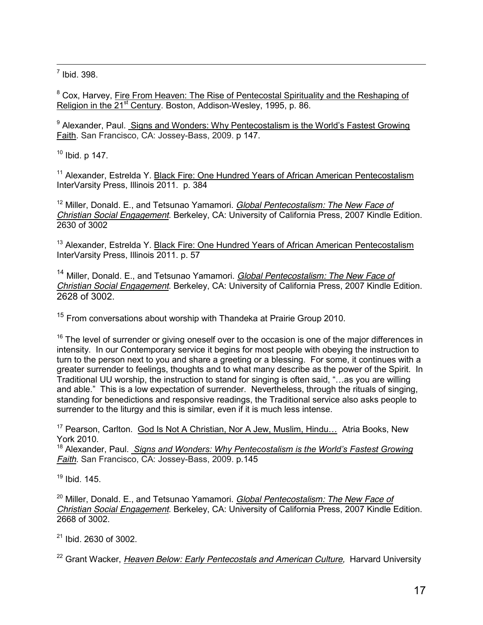$<sup>7</sup>$  Ibid. 398.</sup>

<sup>8</sup> Cox, Harvey, Fire From Heaven: The Rise of Pentecostal Spirituality and the Reshaping of Religion in the 21<sup>st</sup> Century. Boston, Addison-Wesley, 1995, p. 86.

 $9$  Alexander, Paul. Signs and Wonders: Why Pentecostalism is the World's Fastest Growing Faith. San Francisco, CA: Jossey-Bass, 2009. p 147.

 $10$  Ibid. p 147.

<sup>11</sup> Alexander, Estrelda Y. Black Fire: One Hundred Years of African American Pentecostalism InterVarsity Press, Illinois 2011. p. 384

<sup>12</sup> Miller, Donald. E., and Tetsunao Yamamori. *Global Pentecostalism: The New Face of Christian Social Engagement*. Berkeley, CA: University of California Press, 2007 Kindle Edition. 2630 of 3002

<sup>13</sup> Alexander, Estrelda Y. Black Fire: One Hundred Years of African American Pentecostalism InterVarsity Press, Illinois 2011. p. 57

<sup>14</sup> Miller, Donald. E., and Tetsunao Yamamori. *Global Pentecostalism: The New Face of Christian Social Engagement*. Berkeley, CA: University of California Press, 2007 Kindle Edition. 2628 of 3002.

<sup>15</sup> From conversations about worship with Thandeka at Prairie Group 2010.

 $16$  The level of surrender or giving oneself over to the occasion is one of the major differences in intensity. In our Contemporary service it begins for most people with obeying the instruction to turn to the person next to you and share a greeting or a blessing. For some, it continues with a greater surrender to feelings, thoughts and to what many describe as the power of the Spirit. In  $\overline{I}$  Traditional UU worship, the instruction to stand for singing is often said, "... as you are willing and able." This is a low expectation of surrender. Nevertheless, through the rituals of singing, standing for benedictions and responsive readings, the Traditional service also asks people to surrender to the liturgy and this is similar, even if it is much less intense.

<sup>17</sup> Pearson, Carlton. God Is Not A Christian, Nor A Jew, Muslim, Hindu... Atria Books, New York 2010.

<sup>18</sup> Alexander, Paul. *Signs and Wonders: Why Pentecostalism is the World's Fastest Growing Faith*. San Francisco, CA: Jossey-Bass, 2009. p.145

<sup>19</sup> Ibid. 145.

<sup>20</sup> Miller, Donald. E., and Tetsunao Yamamori. *Global Pentecostalism: The New Face of Christian Social Engagement*. Berkeley, CA: University of California Press, 2007 Kindle Edition. 2668 of 3002.

<sup>21</sup> Ibid. 2630 of 3002.

<sup>22</sup> Grant Wacker, *Heaven Below: Early Pentecostals and American Culture*, Harvard University